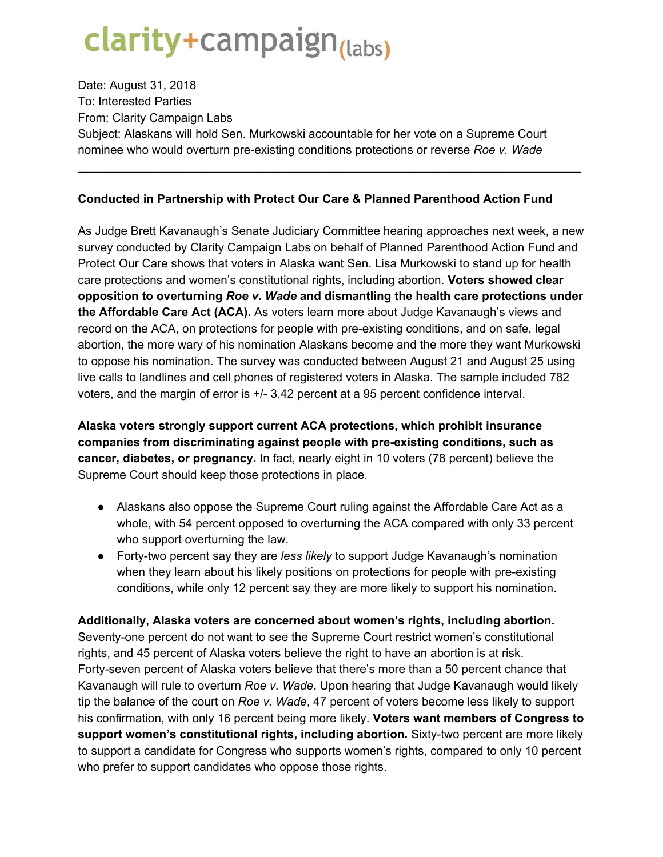## clarity+campaign<sub>(labs)</sub>

Date: August 31, 2018 To: Interested Parties From: Clarity Campaign Labs Subject: Alaskans will hold Sen. Murkowski accountable for her vote on a Supreme Court nominee who would overturn pre-existing conditions protections or reverse *Roe v. Wade*

## **Conducted in Partnership with Protect Our Care & Planned Parenthood Action Fund**

\_\_\_\_\_\_\_\_\_\_\_\_\_\_\_\_\_\_\_\_\_\_\_\_\_\_\_\_\_\_\_\_\_\_\_\_\_\_\_\_\_\_\_\_\_\_\_\_\_\_\_\_\_\_\_\_\_\_\_\_\_\_\_\_\_\_\_\_\_\_\_\_\_\_\_\_

As Judge Brett Kavanaugh's Senate Judiciary Committee hearing approaches next week, a new survey conducted by Clarity Campaign Labs on behalf of Planned Parenthood Action Fund and Protect Our Care shows that voters in Alaska want Sen. Lisa Murkowski to stand up for health care protections and women's constitutional rights, including abortion. **Voters showed clear opposition to overturning** *Roe v. Wade* **and dismantling the health care protections under the Affordable Care Act (ACA).** As voters learn more about Judge Kavanaugh's views and record on the ACA, on protections for people with pre-existing conditions, and on safe, legal abortion, the more wary of his nomination Alaskans become and the more they want Murkowski to oppose his nomination. The survey was conducted between August 21 and August 25 using live calls to landlines and cell phones of registered voters in Alaska. The sample included 782 voters, and the margin of error is +/- 3.42 percent at a 95 percent confidence interval.

**Alaska voters strongly support current ACA protections, which prohibit insurance companies from discriminating against people with pre-existing conditions, such as cancer, diabetes, or pregnancy.** In fact, nearly eight in 10 voters (78 percent) believe the Supreme Court should keep those protections in place.

- Alaskans also oppose the Supreme Court ruling against the Affordable Care Act as a whole, with 54 percent opposed to overturning the ACA compared with only 33 percent who support overturning the law.
- Forty-two percent say they are *less likely* to support Judge Kavanaugh's nomination when they learn about his likely positions on protections for people with pre-existing conditions, while only 12 percent say they are more likely to support his nomination.

**Additionally, Alaska voters are concerned about women's rights, including abortion.** Seventy-one percent do not want to see the Supreme Court restrict women's constitutional rights, and 45 percent of Alaska voters believe the right to have an abortion is at risk. Forty-seven percent of Alaska voters believe that there's more than a 50 percent chance that Kavanaugh will rule to overturn *Roe v. Wade*. Upon hearing that Judge Kavanaugh would likely tip the balance of the court on *Roe v. Wade*, 47 percent of voters become less likely to support his confirmation, with only 16 percent being more likely. **Voters want members of Congress to support women's constitutional rights, including abortion.** Sixty-two percent are more likely to support a candidate for Congress who supports women's rights, compared to only 10 percent who prefer to support candidates who oppose those rights.